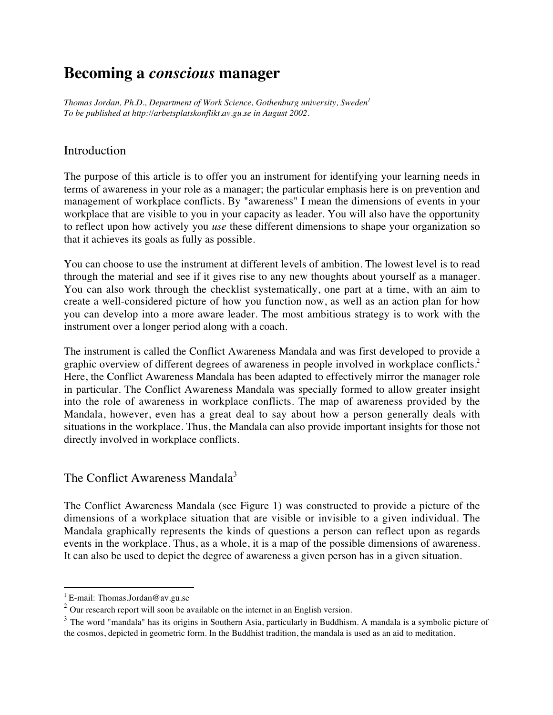# **Becoming a** *conscious* **manager**

*Thomas Jordan, Ph.D., Department of Work Science, Gothenburg university, Sweden<sup>1</sup> To be published at http://arbetsplatskonflikt.av.gu.se in August 2002.*

# **Introduction**

The purpose of this article is to offer you an instrument for identifying your learning needs in terms of awareness in your role as a manager; the particular emphasis here is on prevention and management of workplace conflicts. By "awareness" I mean the dimensions of events in your workplace that are visible to you in your capacity as leader. You will also have the opportunity to reflect upon how actively you *use* these different dimensions to shape your organization so that it achieves its goals as fully as possible.

You can choose to use the instrument at different levels of ambition. The lowest level is to read through the material and see if it gives rise to any new thoughts about yourself as a manager. You can also work through the checklist systematically, one part at a time, with an aim to create a well-considered picture of how you function now, as well as an action plan for how you can develop into a more aware leader. The most ambitious strategy is to work with the instrument over a longer period along with a coach.

The instrument is called the Conflict Awareness Mandala and was first developed to provide a graphic overview of different degrees of awareness in people involved in workplace conflicts.<sup>2</sup> Here, the Conflict Awareness Mandala has been adapted to effectively mirror the manager role in particular. The Conflict Awareness Mandala was specially formed to allow greater insight into the role of awareness in workplace conflicts. The map of awareness provided by the Mandala, however, even has a great deal to say about how a person generally deals with situations in the workplace. Thus, the Mandala can also provide important insights for those not directly involved in workplace conflicts.

# The Conflict Awareness Mandala<sup>3</sup>

The Conflict Awareness Mandala (see Figure 1) was constructed to provide a picture of the dimensions of a workplace situation that are visible or invisible to a given individual. The Mandala graphically represents the kinds of questions a person can reflect upon as regards events in the workplace. Thus, as a whole, it is a map of the possible dimensions of awareness. It can also be used to depict the degree of awareness a given person has in a given situation.

 $\frac{1}{1}$ <sup>1</sup> E-mail: Thomas.Jordan@av.gu.se

<sup>&</sup>lt;sup>2</sup> Our research report will soon be available on the internet in an English version.

<sup>&</sup>lt;sup>3</sup> The word "mandala" has its origins in Southern Asia, particularly in Buddhism. A mandala is a symbolic picture of the cosmos, depicted in geometric form. In the Buddhist tradition, the mandala is used as an aid to meditation.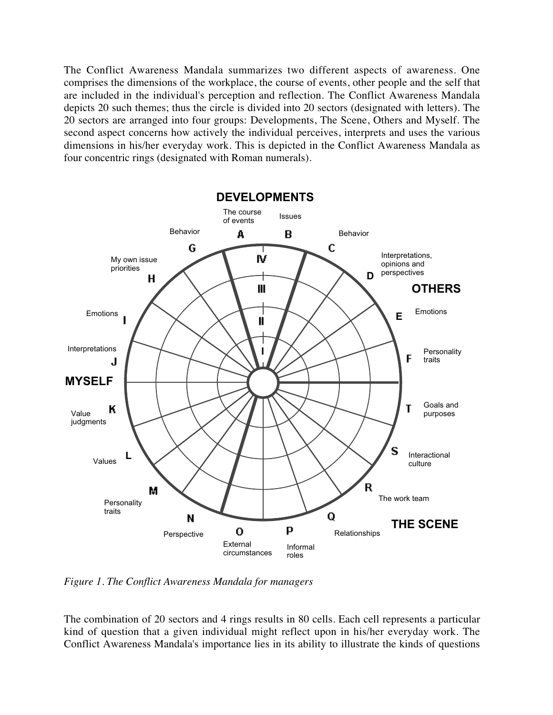The Conflict Awareness Mandala summarizes two different aspects of awareness. One comprises the dimensions of the workplace, the course of events, other people and the self that are included in the individual's perception and reflection. The Conflict Awareness Mandala depicts 20 such themes; thus the circle is divided into 20 sectors (designated with letters). The 20 sectors are arranged into four groups: Developments, The Scene, Others and Myself. The second aspect concerns how actively the individual perceives, interprets and uses the various dimensions in his/her everyday work. This is depicted in the Conflict Awareness Mandala as four concentric rings (designated with Roman numerals).



*Figure 1. The Conflict Awareness Mandala for managers*

The combination of 20 sectors and 4 rings results in 80 cells. Each cell represents a particular kind of question that a given individual might reflect upon in his/her everyday work. The Conflict Awareness Mandala's importance lies in its ability to illustrate the kinds of questions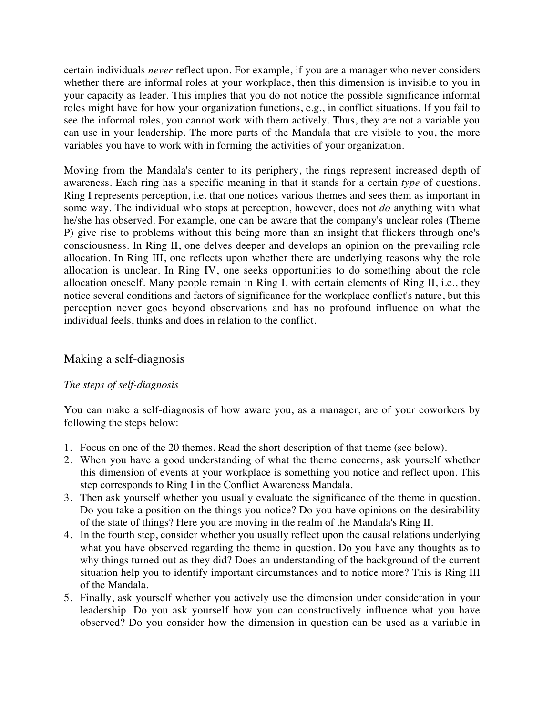certain individuals *never* reflect upon. For example, if you are a manager who never considers whether there are informal roles at your workplace, then this dimension is invisible to you in your capacity as leader. This implies that you do not notice the possible significance informal roles might have for how your organization functions, e.g., in conflict situations. If you fail to see the informal roles, you cannot work with them actively. Thus, they are not a variable you can use in your leadership. The more parts of the Mandala that are visible to you, the more variables you have to work with in forming the activities of your organization.

Moving from the Mandala's center to its periphery, the rings represent increased depth of awareness. Each ring has a specific meaning in that it stands for a certain *type* of questions. Ring I represents perception, i.e. that one notices various themes and sees them as important in some way. The individual who stops at perception, however, does not *do* anything with what he/she has observed. For example, one can be aware that the company's unclear roles (Theme P) give rise to problems without this being more than an insight that flickers through one's consciousness. In Ring II, one delves deeper and develops an opinion on the prevailing role allocation. In Ring III, one reflects upon whether there are underlying reasons why the role allocation is unclear. In Ring IV, one seeks opportunities to do something about the role allocation oneself. Many people remain in Ring I, with certain elements of Ring II, i.e., they notice several conditions and factors of significance for the workplace conflict's nature, but this perception never goes beyond observations and has no profound influence on what the individual feels, thinks and does in relation to the conflict.

# Making a self-diagnosis

## *The steps of self-diagnosis*

You can make a self-diagnosis of how aware you, as a manager, are of your coworkers by following the steps below:

- 1. Focus on one of the 20 themes. Read the short description of that theme (see below).
- 2. When you have a good understanding of what the theme concerns, ask yourself whether this dimension of events at your workplace is something you notice and reflect upon. This step corresponds to Ring I in the Conflict Awareness Mandala.
- 3. Then ask yourself whether you usually evaluate the significance of the theme in question. Do you take a position on the things you notice? Do you have opinions on the desirability of the state of things? Here you are moving in the realm of the Mandala's Ring II.
- 4. In the fourth step, consider whether you usually reflect upon the causal relations underlying what you have observed regarding the theme in question. Do you have any thoughts as to why things turned out as they did? Does an understanding of the background of the current situation help you to identify important circumstances and to notice more? This is Ring III of the Mandala.
- 5. Finally, ask yourself whether you actively use the dimension under consideration in your leadership. Do you ask yourself how you can constructively influence what you have observed? Do you consider how the dimension in question can be used as a variable in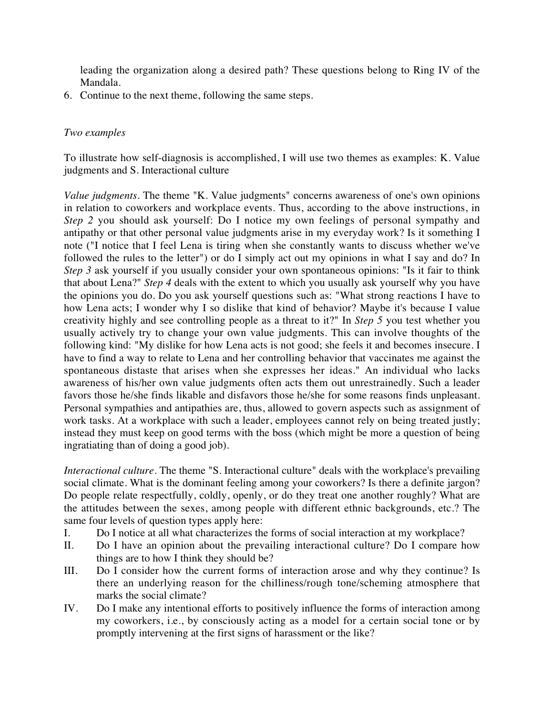leading the organization along a desired path? These questions belong to Ring IV of the Mandala.

6. Continue to the next theme, following the same steps.

#### *Two examples*

To illustrate how self-diagnosis is accomplished, I will use two themes as examples: K. Value judgments and S. Interactional culture

*Value judgments*. The theme "K. Value judgments" concerns awareness of one's own opinions in relation to coworkers and workplace events. Thus, according to the above instructions, in *Step 2* you should ask yourself: Do I notice my own feelings of personal sympathy and antipathy or that other personal value judgments arise in my everyday work? Is it something I note ("I notice that I feel Lena is tiring when she constantly wants to discuss whether we've followed the rules to the letter") or do I simply act out my opinions in what I say and do? In *Step 3* ask yourself if you usually consider your own spontaneous opinions: "Is it fair to think that about Lena?" *Step 4* deals with the extent to which you usually ask yourself why you have the opinions you do. Do you ask yourself questions such as: "What strong reactions I have to how Lena acts; I wonder why I so dislike that kind of behavior? Maybe it's because I value creativity highly and see controlling people as a threat to it?" In *Step 5* you test whether you usually actively try to change your own value judgments. This can involve thoughts of the following kind: "My dislike for how Lena acts is not good; she feels it and becomes insecure. I have to find a way to relate to Lena and her controlling behavior that vaccinates me against the spontaneous distaste that arises when she expresses her ideas." An individual who lacks awareness of his/her own value judgments often acts them out unrestrainedly. Such a leader favors those he/she finds likable and disfavors those he/she for some reasons finds unpleasant. Personal sympathies and antipathies are, thus, allowed to govern aspects such as assignment of work tasks. At a workplace with such a leader, employees cannot rely on being treated justly; instead they must keep on good terms with the boss (which might be more a question of being ingratiating than of doing a good job).

*Interactional culture*. The theme "S. Interactional culture" deals with the workplace's prevailing social climate. What is the dominant feeling among your coworkers? Is there a definite jargon? Do people relate respectfully, coldly, openly, or do they treat one another roughly? What are the attitudes between the sexes, among people with different ethnic backgrounds, etc.? The same four levels of question types apply here:

- I. Do I notice at all what characterizes the forms of social interaction at my workplace?
- II. Do I have an opinion about the prevailing interactional culture? Do I compare how things are to how I think they should be?
- III. Do I consider how the current forms of interaction arose and why they continue? Is there an underlying reason for the chilliness/rough tone/scheming atmosphere that marks the social climate?
- IV. Do I make any intentional efforts to positively influence the forms of interaction among my coworkers, i.e., by consciously acting as a model for a certain social tone or by promptly intervening at the first signs of harassment or the like?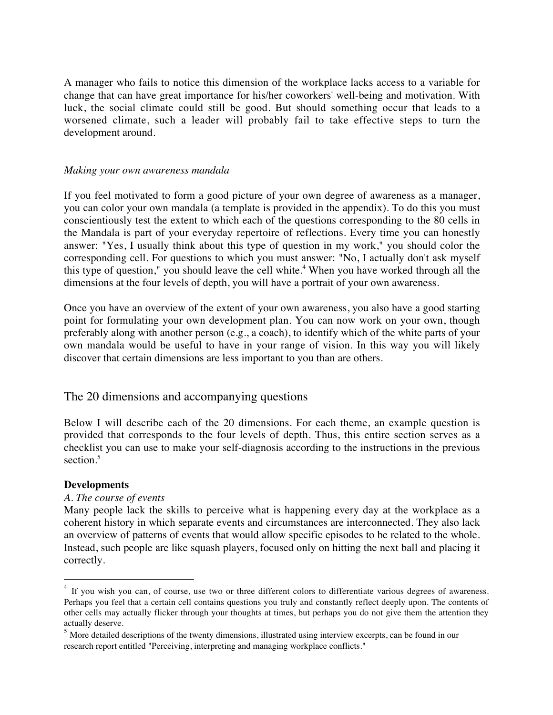A manager who fails to notice this dimension of the workplace lacks access to a variable for change that can have great importance for his/her coworkers' well-being and motivation. With luck, the social climate could still be good. But should something occur that leads to a worsened climate, such a leader will probably fail to take effective steps to turn the development around.

#### *Making your own awareness mandala*

If you feel motivated to form a good picture of your own degree of awareness as a manager, you can color your own mandala (a template is provided in the appendix). To do this you must conscientiously test the extent to which each of the questions corresponding to the 80 cells in the Mandala is part of your everyday repertoire of reflections. Every time you can honestly answer: "Yes, I usually think about this type of question in my work," you should color the corresponding cell. For questions to which you must answer: "No, I actually don't ask myself this type of question," you should leave the cell white.<sup>4</sup> When you have worked through all the dimensions at the four levels of depth, you will have a portrait of your own awareness.

Once you have an overview of the extent of your own awareness, you also have a good starting point for formulating your own development plan. You can now work on your own, though preferably along with another person (e.g., a coach), to identify which of the white parts of your own mandala would be useful to have in your range of vision. In this way you will likely discover that certain dimensions are less important to you than are others.

## The 20 dimensions and accompanying questions

Below I will describe each of the 20 dimensions. For each theme, an example question is provided that corresponds to the four levels of depth. Thus, this entire section serves as a checklist you can use to make your self-diagnosis according to the instructions in the previous section.<sup>5</sup>

#### **Developments**

#### *A. The course of events*

Many people lack the skills to perceive what is happening every day at the workplace as a coherent history in which separate events and circumstances are interconnected. They also lack an overview of patterns of events that would allow specific episodes to be related to the whole. Instead, such people are like squash players, focused only on hitting the next ball and placing it correctly.

<sup>&</sup>lt;sup>4</sup> If you wish you can, of course, use two or three different colors to differentiate various degrees of awareness. Perhaps you feel that a certain cell contains questions you truly and constantly reflect deeply upon. The contents of other cells may actually flicker through your thoughts at times, but perhaps you do not give them the attention they actually deserve.

<sup>&</sup>lt;sup>5</sup> More detailed descriptions of the twenty dimensions, illustrated using interview excerpts, can be found in our research report entitled "Perceiving, interpreting and managing workplace conflicts."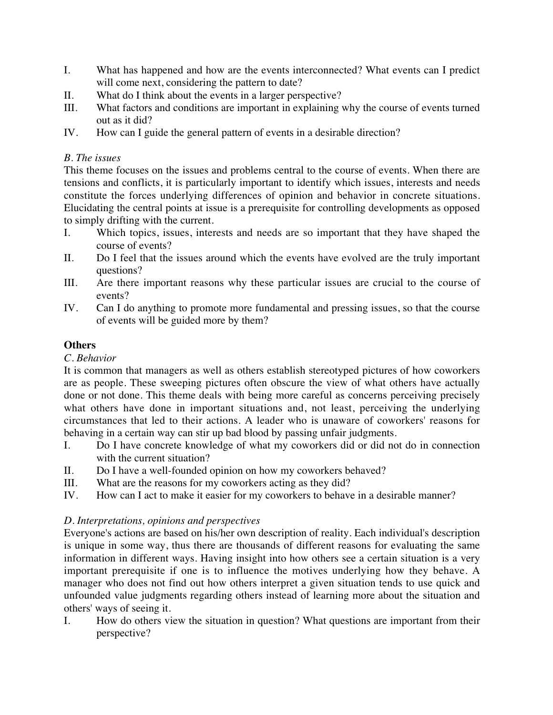- I. What has happened and how are the events interconnected? What events can I predict will come next, considering the pattern to date?
- II. What do I think about the events in a larger perspective?
- III. What factors and conditions are important in explaining why the course of events turned out as it did?
- IV. How can I guide the general pattern of events in a desirable direction?

## *B. The issues*

This theme focuses on the issues and problems central to the course of events. When there are tensions and conflicts, it is particularly important to identify which issues, interests and needs constitute the forces underlying differences of opinion and behavior in concrete situations. Elucidating the central points at issue is a prerequisite for controlling developments as opposed to simply drifting with the current.

- I. Which topics, issues, interests and needs are so important that they have shaped the course of events?
- II. Do I feel that the issues around which the events have evolved are the truly important questions?
- III. Are there important reasons why these particular issues are crucial to the course of events?
- IV. Can I do anything to promote more fundamental and pressing issues, so that the course of events will be guided more by them?

## **Others**

## *C. Behavior*

It is common that managers as well as others establish stereotyped pictures of how coworkers are as people. These sweeping pictures often obscure the view of what others have actually done or not done. This theme deals with being more careful as concerns perceiving precisely what others have done in important situations and, not least, perceiving the underlying circumstances that led to their actions. A leader who is unaware of coworkers' reasons for behaving in a certain way can stir up bad blood by passing unfair judgments.

- I. Do I have concrete knowledge of what my coworkers did or did not do in connection with the current situation?
- II. Do I have a well-founded opinion on how my coworkers behaved?
- III. What are the reasons for my coworkers acting as they did?
- IV. How can I act to make it easier for my coworkers to behave in a desirable manner?

# *D. Interpretations, opinions and perspectives*

Everyone's actions are based on his/her own description of reality. Each individual's description is unique in some way, thus there are thousands of different reasons for evaluating the same information in different ways. Having insight into how others see a certain situation is a very important prerequisite if one is to influence the motives underlying how they behave. A manager who does not find out how others interpret a given situation tends to use quick and unfounded value judgments regarding others instead of learning more about the situation and others' ways of seeing it.

I. How do others view the situation in question? What questions are important from their perspective?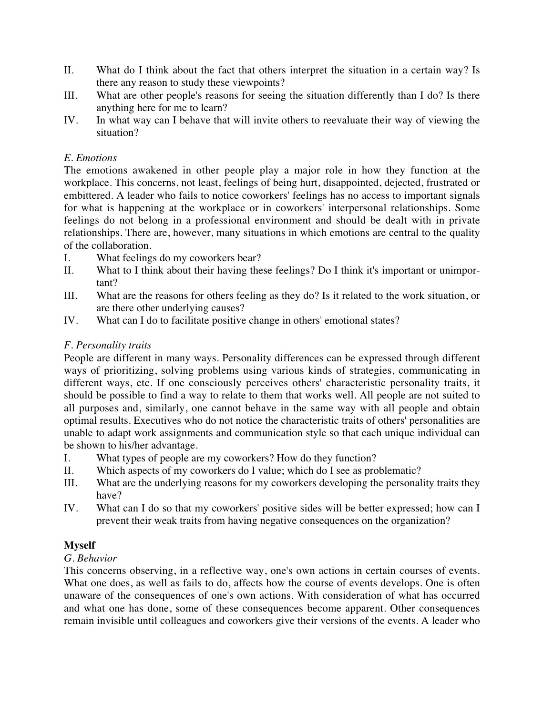- II. What do I think about the fact that others interpret the situation in a certain way? Is there any reason to study these viewpoints?
- III. What are other people's reasons for seeing the situation differently than I do? Is there anything here for me to learn?
- IV. In what way can I behave that will invite others to reevaluate their way of viewing the situation?

## *E. Emotions*

The emotions awakened in other people play a major role in how they function at the workplace. This concerns, not least, feelings of being hurt, disappointed, dejected, frustrated or embittered. A leader who fails to notice coworkers' feelings has no access to important signals for what is happening at the workplace or in coworkers' interpersonal relationships. Some feelings do not belong in a professional environment and should be dealt with in private relationships. There are, however, many situations in which emotions are central to the quality of the collaboration.

- I. What feelings do my coworkers bear?
- II. What to I think about their having these feelings? Do I think it's important or unimportant?
- III. What are the reasons for others feeling as they do? Is it related to the work situation, or are there other underlying causes?
- IV. What can I do to facilitate positive change in others' emotional states?

## *F. Personality traits*

People are different in many ways. Personality differences can be expressed through different ways of prioritizing, solving problems using various kinds of strategies, communicating in different ways, etc. If one consciously perceives others' characteristic personality traits, it should be possible to find a way to relate to them that works well. All people are not suited to all purposes and, similarly, one cannot behave in the same way with all people and obtain optimal results. Executives who do not notice the characteristic traits of others' personalities are unable to adapt work assignments and communication style so that each unique individual can be shown to his/her advantage.

- I. What types of people are my coworkers? How do they function?
- II. Which aspects of my coworkers do I value; which do I see as problematic?
- III. What are the underlying reasons for my coworkers developing the personality traits they have?
- IV. What can I do so that my coworkers' positive sides will be better expressed; how can I prevent their weak traits from having negative consequences on the organization?

## **Myself**

## *G. Behavior*

This concerns observing, in a reflective way, one's own actions in certain courses of events. What one does, as well as fails to do, affects how the course of events develops. One is often unaware of the consequences of one's own actions. With consideration of what has occurred and what one has done, some of these consequences become apparent. Other consequences remain invisible until colleagues and coworkers give their versions of the events. A leader who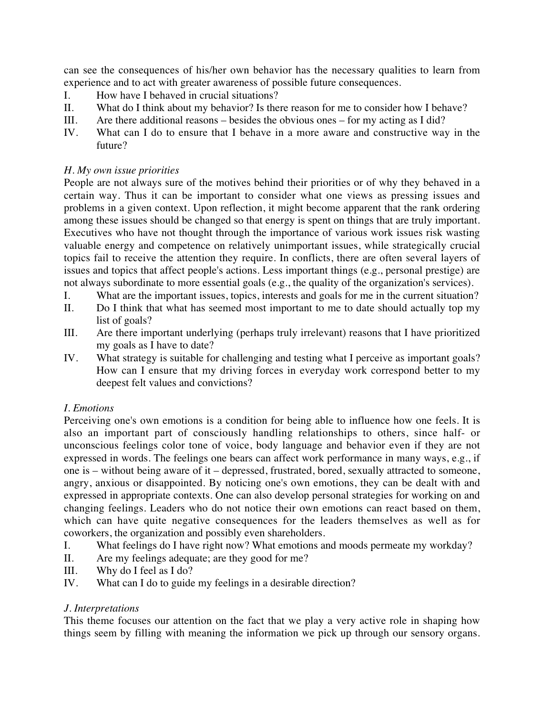can see the consequences of his/her own behavior has the necessary qualities to learn from experience and to act with greater awareness of possible future consequences.

- I. How have I behaved in crucial situations?
- II. What do I think about my behavior? Is there reason for me to consider how I behave?
- III. Are there additional reasons besides the obvious ones for my acting as I did?
- IV. What can I do to ensure that I behave in a more aware and constructive way in the future?

## *H. My own issue priorities*

People are not always sure of the motives behind their priorities or of why they behaved in a certain way. Thus it can be important to consider what one views as pressing issues and problems in a given context. Upon reflection, it might become apparent that the rank ordering among these issues should be changed so that energy is spent on things that are truly important. Executives who have not thought through the importance of various work issues risk wasting valuable energy and competence on relatively unimportant issues, while strategically crucial topics fail to receive the attention they require. In conflicts, there are often several layers of issues and topics that affect people's actions. Less important things (e.g., personal prestige) are not always subordinate to more essential goals (e.g., the quality of the organization's services).

- I. What are the important issues, topics, interests and goals for me in the current situation?
- II. Do I think that what has seemed most important to me to date should actually top my list of goals?
- III. Are there important underlying (perhaps truly irrelevant) reasons that I have prioritized my goals as I have to date?
- IV. What strategy is suitable for challenging and testing what I perceive as important goals? How can I ensure that my driving forces in everyday work correspond better to my deepest felt values and convictions?

## *I. Emotions*

Perceiving one's own emotions is a condition for being able to influence how one feels. It is also an important part of consciously handling relationships to others, since half- or unconscious feelings color tone of voice, body language and behavior even if they are not expressed in words. The feelings one bears can affect work performance in many ways, e.g., if one is – without being aware of it – depressed, frustrated, bored, sexually attracted to someone, angry, anxious or disappointed. By noticing one's own emotions, they can be dealt with and expressed in appropriate contexts. One can also develop personal strategies for working on and changing feelings. Leaders who do not notice their own emotions can react based on them, which can have quite negative consequences for the leaders themselves as well as for coworkers, the organization and possibly even shareholders.

- I. What feelings do I have right now? What emotions and moods permeate my workday?
- II. Are my feelings adequate; are they good for me?
- III. Why do I feel as I do?
- IV. What can I do to guide my feelings in a desirable direction?

## *J. Interpretations*

This theme focuses our attention on the fact that we play a very active role in shaping how things seem by filling with meaning the information we pick up through our sensory organs.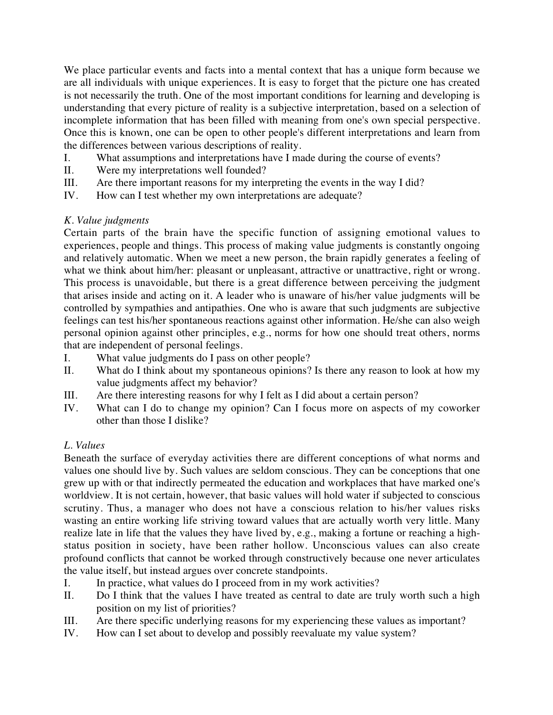We place particular events and facts into a mental context that has a unique form because we are all individuals with unique experiences. It is easy to forget that the picture one has created is not necessarily the truth. One of the most important conditions for learning and developing is understanding that every picture of reality is a subjective interpretation, based on a selection of incomplete information that has been filled with meaning from one's own special perspective. Once this is known, one can be open to other people's different interpretations and learn from the differences between various descriptions of reality.

- I. What assumptions and interpretations have I made during the course of events?
- II. Were my interpretations well founded?
- III. Are there important reasons for my interpreting the events in the way I did?
- IV. How can I test whether my own interpretations are adequate?

## *K. Value judgments*

Certain parts of the brain have the specific function of assigning emotional values to experiences, people and things. This process of making value judgments is constantly ongoing and relatively automatic. When we meet a new person, the brain rapidly generates a feeling of what we think about him/her: pleasant or unpleasant, attractive or unattractive, right or wrong. This process is unavoidable, but there is a great difference between perceiving the judgment that arises inside and acting on it. A leader who is unaware of his/her value judgments will be controlled by sympathies and antipathies. One who is aware that such judgments are subjective feelings can test his/her spontaneous reactions against other information. He/she can also weigh personal opinion against other principles, e.g., norms for how one should treat others, norms that are independent of personal feelings.

- I. What value judgments do I pass on other people?
- II. What do I think about my spontaneous opinions? Is there any reason to look at how my value judgments affect my behavior?
- III. Are there interesting reasons for why I felt as I did about a certain person?
- IV. What can I do to change my opinion? Can I focus more on aspects of my coworker other than those I dislike?

# *L. Values*

Beneath the surface of everyday activities there are different conceptions of what norms and values one should live by. Such values are seldom conscious. They can be conceptions that one grew up with or that indirectly permeated the education and workplaces that have marked one's worldview. It is not certain, however, that basic values will hold water if subjected to conscious scrutiny. Thus, a manager who does not have a conscious relation to his/her values risks wasting an entire working life striving toward values that are actually worth very little. Many realize late in life that the values they have lived by, e.g., making a fortune or reaching a highstatus position in society, have been rather hollow. Unconscious values can also create profound conflicts that cannot be worked through constructively because one never articulates the value itself, but instead argues over concrete standpoints.

- I. In practice, what values do I proceed from in my work activities?
- II. Do I think that the values I have treated as central to date are truly worth such a high position on my list of priorities?
- III. Are there specific underlying reasons for my experiencing these values as important?
- IV. How can I set about to develop and possibly reevaluate my value system?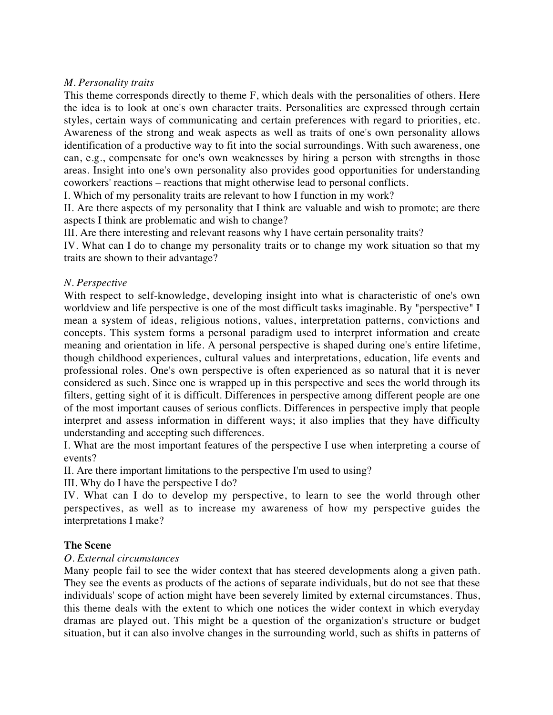#### *M. Personality traits*

This theme corresponds directly to theme F, which deals with the personalities of others. Here the idea is to look at one's own character traits. Personalities are expressed through certain styles, certain ways of communicating and certain preferences with regard to priorities, etc. Awareness of the strong and weak aspects as well as traits of one's own personality allows identification of a productive way to fit into the social surroundings. With such awareness, one can, e.g., compensate for one's own weaknesses by hiring a person with strengths in those areas. Insight into one's own personality also provides good opportunities for understanding coworkers' reactions – reactions that might otherwise lead to personal conflicts.

I. Which of my personality traits are relevant to how I function in my work?

II. Are there aspects of my personality that I think are valuable and wish to promote; are there aspects I think are problematic and wish to change?

III. Are there interesting and relevant reasons why I have certain personality traits?

IV. What can I do to change my personality traits or to change my work situation so that my traits are shown to their advantage?

## *N. Perspective*

With respect to self-knowledge, developing insight into what is characteristic of one's own worldview and life perspective is one of the most difficult tasks imaginable. By "perspective" I mean a system of ideas, religious notions, values, interpretation patterns, convictions and concepts. This system forms a personal paradigm used to interpret information and create meaning and orientation in life. A personal perspective is shaped during one's entire lifetime, though childhood experiences, cultural values and interpretations, education, life events and professional roles. One's own perspective is often experienced as so natural that it is never considered as such. Since one is wrapped up in this perspective and sees the world through its filters, getting sight of it is difficult. Differences in perspective among different people are one of the most important causes of serious conflicts. Differences in perspective imply that people interpret and assess information in different ways; it also implies that they have difficulty understanding and accepting such differences.

I. What are the most important features of the perspective I use when interpreting a course of events?

II. Are there important limitations to the perspective I'm used to using?

III. Why do I have the perspective I do?

IV. What can I do to develop my perspective, to learn to see the world through other perspectives, as well as to increase my awareness of how my perspective guides the interpretations I make?

## **The Scene**

#### *O. External circumstances*

Many people fail to see the wider context that has steered developments along a given path. They see the events as products of the actions of separate individuals, but do not see that these individuals' scope of action might have been severely limited by external circumstances. Thus, this theme deals with the extent to which one notices the wider context in which everyday dramas are played out. This might be a question of the organization's structure or budget situation, but it can also involve changes in the surrounding world, such as shifts in patterns of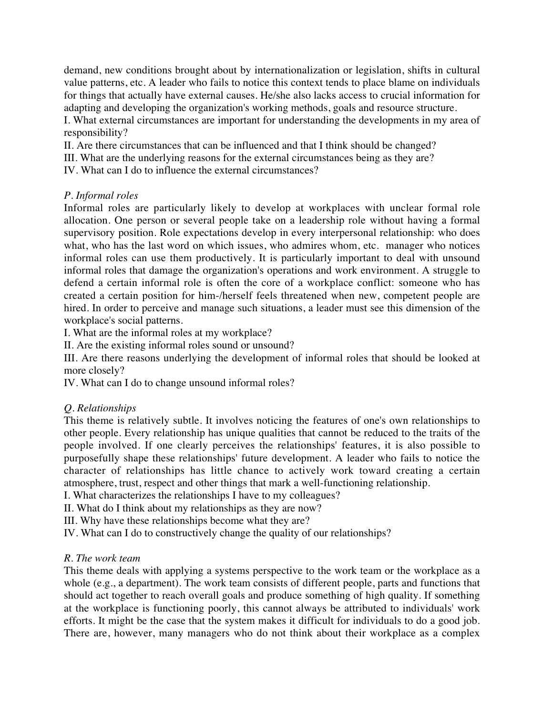demand, new conditions brought about by internationalization or legislation, shifts in cultural value patterns, etc. A leader who fails to notice this context tends to place blame on individuals for things that actually have external causes. He/she also lacks access to crucial information for adapting and developing the organization's working methods, goals and resource structure.

I. What external circumstances are important for understanding the developments in my area of responsibility?

II. Are there circumstances that can be influenced and that I think should be changed?

III. What are the underlying reasons for the external circumstances being as they are?

IV. What can I do to influence the external circumstances?

#### *P. Informal roles*

Informal roles are particularly likely to develop at workplaces with unclear formal role allocation. One person or several people take on a leadership role without having a formal supervisory position. Role expectations develop in every interpersonal relationship: who does what, who has the last word on which issues, who admires whom, etc. manager who notices informal roles can use them productively. It is particularly important to deal with unsound informal roles that damage the organization's operations and work environment. A struggle to defend a certain informal role is often the core of a workplace conflict: someone who has created a certain position for him-/herself feels threatened when new, competent people are hired. In order to perceive and manage such situations, a leader must see this dimension of the workplace's social patterns.

I. What are the informal roles at my workplace?

II. Are the existing informal roles sound or unsound?

III. Are there reasons underlying the development of informal roles that should be looked at more closely?

IV. What can I do to change unsound informal roles?

## *Q. Relationships*

This theme is relatively subtle. It involves noticing the features of one's own relationships to other people. Every relationship has unique qualities that cannot be reduced to the traits of the people involved. If one clearly perceives the relationships' features, it is also possible to purposefully shape these relationships' future development. A leader who fails to notice the character of relationships has little chance to actively work toward creating a certain atmosphere, trust, respect and other things that mark a well-functioning relationship.

I. What characterizes the relationships I have to my colleagues?

II. What do I think about my relationships as they are now?

III. Why have these relationships become what they are?

IV. What can I do to constructively change the quality of our relationships?

#### *R. The work team*

This theme deals with applying a systems perspective to the work team or the workplace as a whole (e.g., a department). The work team consists of different people, parts and functions that should act together to reach overall goals and produce something of high quality. If something at the workplace is functioning poorly, this cannot always be attributed to individuals' work efforts. It might be the case that the system makes it difficult for individuals to do a good job. There are, however, many managers who do not think about their workplace as a complex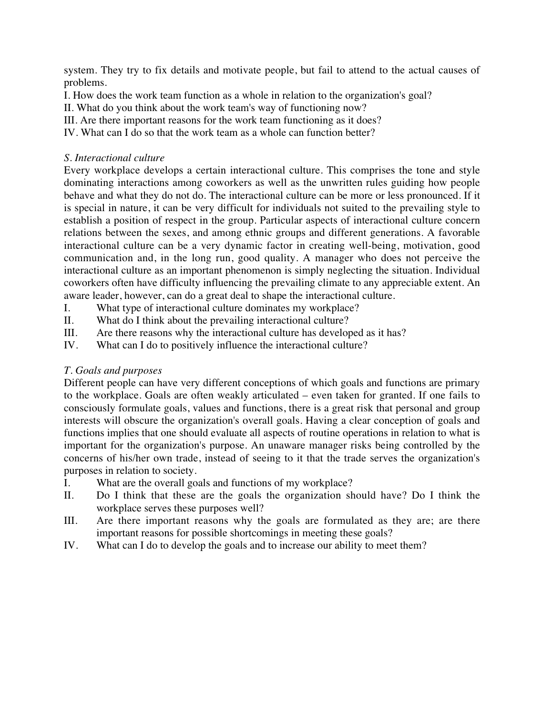system. They try to fix details and motivate people, but fail to attend to the actual causes of problems.

I. How does the work team function as a whole in relation to the organization's goal?

II. What do you think about the work team's way of functioning now?

III. Are there important reasons for the work team functioning as it does?

IV. What can I do so that the work team as a whole can function better?

#### *S. Interactional culture*

Every workplace develops a certain interactional culture. This comprises the tone and style dominating interactions among coworkers as well as the unwritten rules guiding how people behave and what they do not do. The interactional culture can be more or less pronounced. If it is special in nature, it can be very difficult for individuals not suited to the prevailing style to establish a position of respect in the group. Particular aspects of interactional culture concern relations between the sexes, and among ethnic groups and different generations. A favorable interactional culture can be a very dynamic factor in creating well-being, motivation, good communication and, in the long run, good quality. A manager who does not perceive the interactional culture as an important phenomenon is simply neglecting the situation. Individual coworkers often have difficulty influencing the prevailing climate to any appreciable extent. An aware leader, however, can do a great deal to shape the interactional culture.

I. What type of interactional culture dominates my workplace?

- II. What do I think about the prevailing interactional culture?
- III. Are there reasons why the interactional culture has developed as it has?

IV. What can I do to positively influence the interactional culture?

## *T. Goals and purposes*

Different people can have very different conceptions of which goals and functions are primary to the workplace. Goals are often weakly articulated – even taken for granted. If one fails to consciously formulate goals, values and functions, there is a great risk that personal and group interests will obscure the organization's overall goals. Having a clear conception of goals and functions implies that one should evaluate all aspects of routine operations in relation to what is important for the organization's purpose. An unaware manager risks being controlled by the concerns of his/her own trade, instead of seeing to it that the trade serves the organization's purposes in relation to society.

- I. What are the overall goals and functions of my workplace?
- II. Do I think that these are the goals the organization should have? Do I think the workplace serves these purposes well?
- III. Are there important reasons why the goals are formulated as they are; are there important reasons for possible shortcomings in meeting these goals?
- IV. What can I do to develop the goals and to increase our ability to meet them?